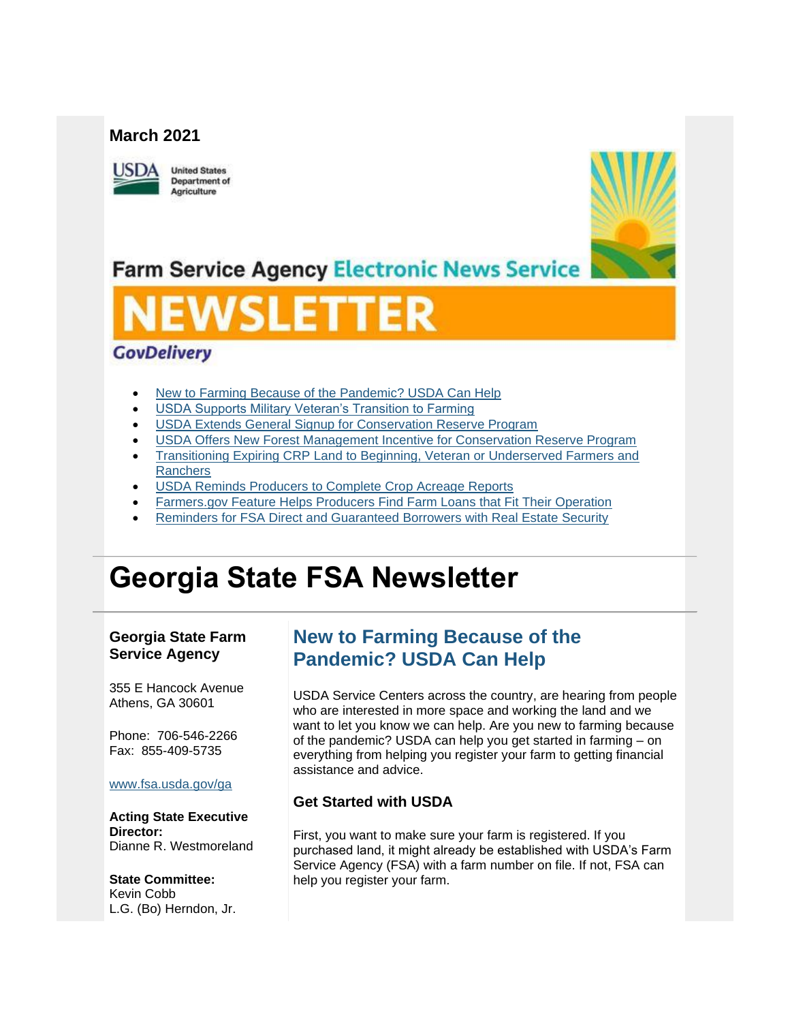#### **March 2021**



**United States Department of** Agriculture



**Farm Service Agency Electronic News Service** 

# **EWSLETTER**

### **GovDelivery**

- [New to Farming Because of the Pandemic? USDA Can Help](#page-0-0)
- [USDA Supports Military Veteran's Transition to Farming](#page-2-0)
- **[USDA Extends General Signup for Conservation Reserve Program](#page-2-1)**
- [USDA Offers New Forest Management Incentive for Conservation Reserve Program](#page-2-2)
- [Transitioning Expiring CRP Land to Beginning, Veteran or Underserved Farmers and](#page-3-0)  **[Ranchers](#page-3-0)**
- USDA Reminds Producers to Complete Crop Acreage Reports
- [Farmers.gov Feature Helps Producers Find Farm Loans that Fit Their Operation](#page-5-0)
- [Reminders for FSA Direct and Guaranteed Borrowers with Real Estate Security](#page-6-0)

## **Georgia State FSA Newsletter**

#### **Georgia State Farm Service Agency**

355 E Hancock Avenue Athens, GA 30601

Phone: 706-546-2266 Fax: 855-409-5735

#### [www.fsa.usda.gov/ga](https://gcc02.safelinks.protection.outlook.com/?url=http%3A%2F%2Fwww.fsa.usda.gov%2Fxx%3Futm_medium%3Demail%26utm_source%3Dgovdelivery&data=04%7C01%7C%7Cab1f4a072d374c610fbd08d8e8ab85bc%7Ced5b36e701ee4ebc867ee03cfa0d4697%7C0%7C1%7C637515170671552935%7CUnknown%7CTWFpbGZsb3d8eyJWIjoiMC4wLjAwMDAiLCJQIjoiV2luMzIiLCJBTiI6Ik1haWwiLCJXVCI6Mn0%3D%7C1000&sdata=%2B2Z1eGIt2AzXvqJ6IvaG%2BlyFP3bMNJH3qWGqSMd7k3E%3D&reserved=0)

**Acting State Executive Director:** Dianne R. Westmoreland

**State Committee:** Kevin Cobb L.G. (Bo) Herndon, Jr.

## <span id="page-0-0"></span>**New to Farming Because of the Pandemic? USDA Can Help**

USDA Service Centers across the country, are hearing from people who are interested in more space and working the land and we want to let you know we can help. Are you new to farming because of the pandemic? USDA can help you get started in farming – on everything from helping you register your farm to getting financial assistance and advice.

#### **Get Started with USDA**

First, you want to make sure your farm is registered. If you purchased land, it might already be established with USDA's Farm Service Agency (FSA) with a farm number on file. If not, FSA can help you register your farm.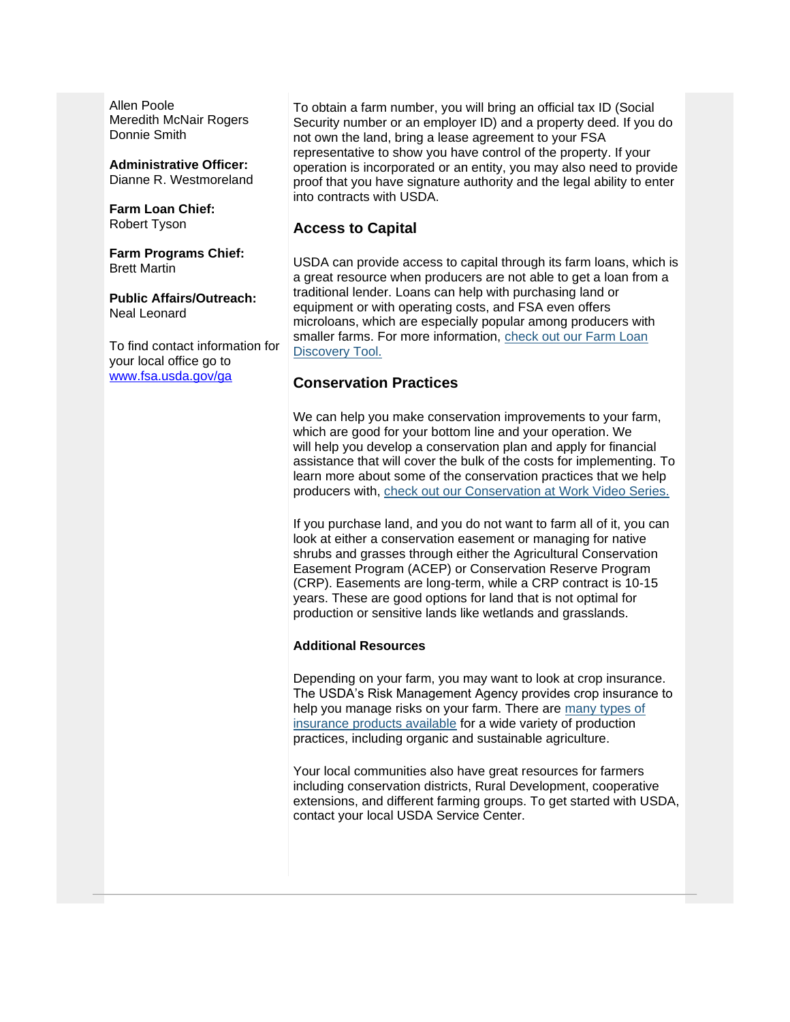Allen Poole Meredith McNair Rogers Donnie Smith

#### **Administrative Officer:**

Dianne R. Westmoreland

#### **Farm Loan Chief:** Robert Tyson

**Farm Programs Chief:** Brett Martin

**Public Affairs/Outreach:** Neal Leonard

To find contact information for your local office go to [www.fsa.usda.gov/ga](http://www.fsa.usda.gov/ga)

To obtain a farm number, you will bring an official tax ID (Social Security number or an employer ID) and a property deed. If you do not own the land, bring a lease agreement to your FSA representative to show you have control of the property. If your operation is incorporated or an entity, you may also need to provide proof that you have signature authority and the legal ability to enter into contracts with USDA.

#### **Access to Capital**

USDA can provide access to capital through its farm loans, which is a great resource when producers are not able to get a loan from a traditional lender. Loans can help with purchasing land or equipment or with operating costs, and FSA even offers microloans, which are especially popular among producers with smaller farms. For more information, [check out our Farm Loan](https://www.farmers.gov/fund/farm-loan-discovery-tool?utm_medium=email&utm_source=govdelivery)  [Discovery Tool.](https://www.farmers.gov/fund/farm-loan-discovery-tool?utm_medium=email&utm_source=govdelivery)

#### **Conservation Practices**

We can help you make conservation improvements to your farm, which are good for your bottom line and your operation. We will help you develop a conservation plan and apply for financial assistance that will cover the bulk of the costs for implementing. To learn more about some of the conservation practices that we help producers with, [check out our Conservation at Work Video Series.](https://www.farmers.gov/conserve/conservation-at-work?utm_medium=email&utm_source=govdelivery)

If you purchase land, and you do not want to farm all of it, you can look at either a conservation easement or managing for native shrubs and grasses through either the Agricultural Conservation Easement Program (ACEP) or Conservation Reserve Program (CRP). Easements are long-term, while a CRP contract is 10-15 years. These are good options for land that is not optimal for production or sensitive lands like wetlands and grasslands.

#### **Additional Resources**

Depending on your farm, you may want to look at crop insurance. The USDA's Risk Management Agency provides crop insurance to help you manage risks on your farm. There are [many types of](https://gcc02.safelinks.protection.outlook.com/?url=https%3A%2F%2Fwww.rma.usda.gov%2FTopics%2FBeginning-Farmers%3Futm_medium%3Demail%26utm_source%3Dgovdelivery&data=04%7C01%7C%7Cab1f4a072d374c610fbd08d8e8ab85bc%7Ced5b36e701ee4ebc867ee03cfa0d4697%7C0%7C1%7C637515170671562888%7CUnknown%7CTWFpbGZsb3d8eyJWIjoiMC4wLjAwMDAiLCJQIjoiV2luMzIiLCJBTiI6Ik1haWwiLCJXVCI6Mn0%3D%7C1000&sdata=oDZ6hsxh71VvXFaXeDK52fJSwLmNP5ru5j5gOFMTauo%3D&reserved=0)  [insurance products available](https://gcc02.safelinks.protection.outlook.com/?url=https%3A%2F%2Fwww.rma.usda.gov%2FTopics%2FBeginning-Farmers%3Futm_medium%3Demail%26utm_source%3Dgovdelivery&data=04%7C01%7C%7Cab1f4a072d374c610fbd08d8e8ab85bc%7Ced5b36e701ee4ebc867ee03cfa0d4697%7C0%7C1%7C637515170671562888%7CUnknown%7CTWFpbGZsb3d8eyJWIjoiMC4wLjAwMDAiLCJQIjoiV2luMzIiLCJBTiI6Ik1haWwiLCJXVCI6Mn0%3D%7C1000&sdata=oDZ6hsxh71VvXFaXeDK52fJSwLmNP5ru5j5gOFMTauo%3D&reserved=0) for a wide variety of production practices, including organic and sustainable agriculture.

Your local communities also have great resources for farmers including conservation districts, Rural Development, cooperative extensions, and different farming groups. To get started with USDA, contact your local USDA Service Center.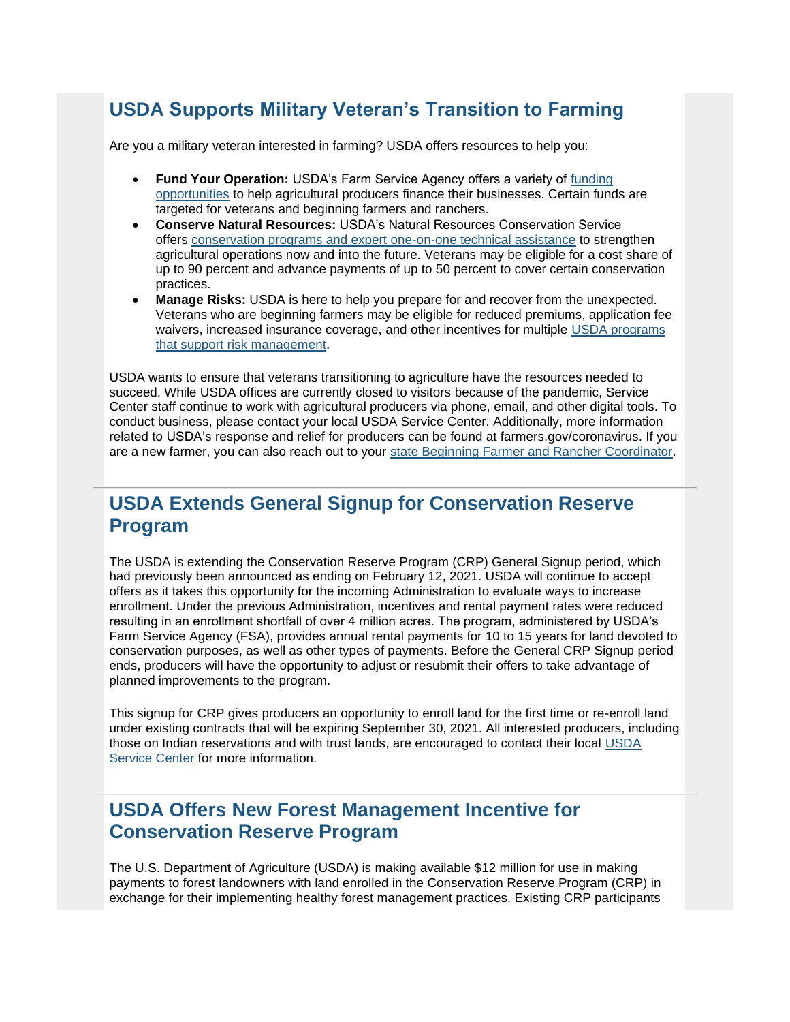## <span id="page-2-0"></span>**USDA Supports Military Veteran's Transition to Farming**

Are you a military veteran interested in farming? USDA offers resources to help you:

- **Fund Your Operation:** USDA's Farm Service Agency offers a variety of [funding](https://www.farmers.gov/fund?utm_medium=email&utm_source=govdelivery)  [opportunities](https://www.farmers.gov/fund?utm_medium=email&utm_source=govdelivery) to help agricultural producers finance their businesses. Certain funds are targeted for veterans and beginning farmers and ranchers.
- **Conserve Natural Resources:** USDA's Natural Resources Conservation Service offers [conservation programs and expert one-on-one technical assistance](https://www.farmers.gov/conserve?utm_medium=email&utm_source=govdelivery) to strengthen agricultural operations now and into the future. Veterans may be eligible for a cost share of up to 90 percent and advance payments of up to 50 percent to cover certain conservation practices.
- **Manage Risks:** USDA is here to help you prepare for and recover from the unexpected. Veterans who are beginning farmers may be eligible for reduced premiums, application fee waivers, increased insurance coverage, and other incentives for multiple [USDA programs](https://www.farmers.gov/manage?utm_medium=email&utm_source=govdelivery)  [that support risk management.](https://www.farmers.gov/manage?utm_medium=email&utm_source=govdelivery)

USDA wants to ensure that veterans transitioning to agriculture have the resources needed to succeed. While USDA offices are currently closed to visitors because of the pandemic, Service Center staff continue to work with agricultural producers via phone, email, and other digital tools. To conduct business, please contact your local USDA Service Center. Additionally, more information related to USDA's response and relief for producers can be found at farmers.gov/coronavirus. If you are a new farmer, you can also reach out to your [state Beginning Farmer and Rancher Coordinator.](https://www.farmers.gov/manage/newfarmers/coordinators?utm_medium=email&utm_source=govdelivery)

## <span id="page-2-1"></span>**USDA Extends General Signup for Conservation Reserve Program**

The USDA is extending the Conservation Reserve Program (CRP) General Signup period, which had previously been announced as ending on February 12, 2021. USDA will continue to accept offers as it takes this opportunity for the incoming Administration to evaluate ways to increase enrollment. Under the previous Administration, incentives and rental payment rates were reduced resulting in an enrollment shortfall of over 4 million acres. The program, administered by USDA's Farm Service Agency (FSA), provides annual rental payments for 10 to 15 years for land devoted to conservation purposes, as well as other types of payments. Before the General CRP Signup period ends, producers will have the opportunity to adjust or resubmit their offers to take advantage of planned improvements to the program.

This signup for CRP gives producers an opportunity to enroll land for the first time or re-enroll land under existing contracts that will be expiring September 30, 2021. All interested producers, including those on Indian reservations and with trust lands, are encouraged to contact their local [USDA](https://www.farmers.gov/service-center-locator?utm_medium=email&utm_source=govdelivery)  [Service Center](https://www.farmers.gov/service-center-locator?utm_medium=email&utm_source=govdelivery) for more information.

## <span id="page-2-2"></span>**USDA Offers New Forest Management Incentive for Conservation Reserve Program**

The U.S. Department of Agriculture (USDA) is making available \$12 million for use in making payments to forest landowners with land enrolled in the Conservation Reserve Program (CRP) in exchange for their implementing healthy forest management practices. Existing CRP participants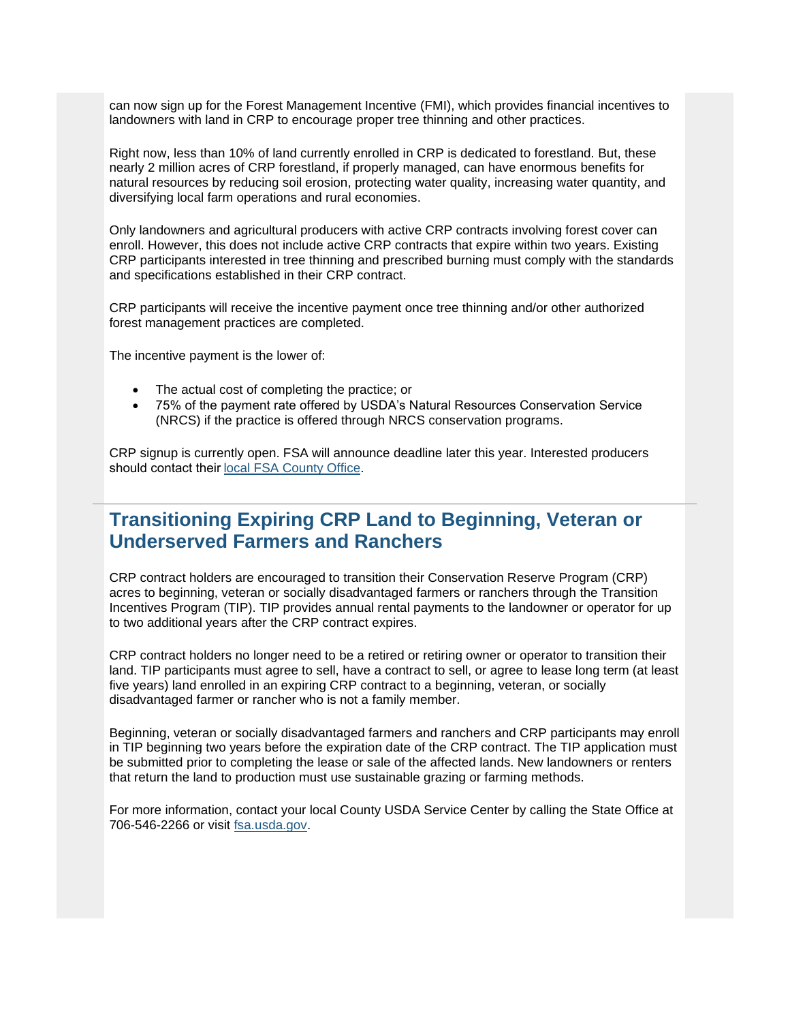can now sign up for the Forest Management Incentive (FMI), which provides financial incentives to landowners with land in CRP to encourage proper tree thinning and other practices.

Right now, less than 10% of land currently enrolled in CRP is dedicated to forestland. But, these nearly 2 million acres of CRP forestland, if properly managed, can have enormous benefits for natural resources by reducing soil erosion, protecting water quality, increasing water quantity, and diversifying local farm operations and rural economies.

Only landowners and agricultural producers with active CRP contracts involving forest cover can enroll. However, this does not include active CRP contracts that expire within two years. Existing CRP participants interested in tree thinning and prescribed burning must comply with the standards and specifications established in their CRP contract.

CRP participants will receive the incentive payment once tree thinning and/or other authorized forest management practices are completed.

The incentive payment is the lower of:

- The actual cost of completing the practice; or
- 75% of the payment rate offered by USDA's Natural Resources Conservation Service (NRCS) if the practice is offered through NRCS conservation programs.

CRP signup is currently open. FSA will announce deadline later this year. Interested producers should contact thei[r local FSA County Office.](https://www.farmers.gov/service-center-locator?utm_medium=email&utm_source=govdelivery) 

## <span id="page-3-0"></span>**Transitioning Expiring CRP Land to Beginning, Veteran or Underserved Farmers and Ranchers**

CRP contract holders are encouraged to transition their Conservation Reserve Program (CRP) acres to beginning, veteran or socially disadvantaged farmers or ranchers through the Transition Incentives Program (TIP). TIP provides annual rental payments to the landowner or operator for up to two additional years after the CRP contract expires.

CRP contract holders no longer need to be a retired or retiring owner or operator to transition their land. TIP participants must agree to sell, have a contract to sell, or agree to lease long term (at least five years) land enrolled in an expiring CRP contract to a beginning, veteran, or socially disadvantaged farmer or rancher who is not a family member.

Beginning, veteran or socially disadvantaged farmers and ranchers and CRP participants may enroll in TIP beginning two years before the expiration date of the CRP contract. The TIP application must be submitted prior to completing the lease or sale of the affected lands. New landowners or renters that return the land to production must use sustainable grazing or farming methods.

For more information, contact your local County USDA Service Center by calling the State Office at 706-546-2266 or visit [fsa.usda.gov.](https://gcc02.safelinks.protection.outlook.com/?url=http%3A%2F%2Fwww.fsa.usda.gov%2F%3Futm_medium%3Demail%26utm_source%3Dgovdelivery&data=04%7C01%7C%7Cab1f4a072d374c610fbd08d8e8ab85bc%7Ced5b36e701ee4ebc867ee03cfa0d4697%7C0%7C1%7C637515170671562888%7CUnknown%7CTWFpbGZsb3d8eyJWIjoiMC4wLjAwMDAiLCJQIjoiV2luMzIiLCJBTiI6Ik1haWwiLCJXVCI6Mn0%3D%7C1000&sdata=tz1DNtiMXdFR%2Fh6M8HUmZmVh3qvx%2Flx7%2FpadmRRdCGs%3D&reserved=0)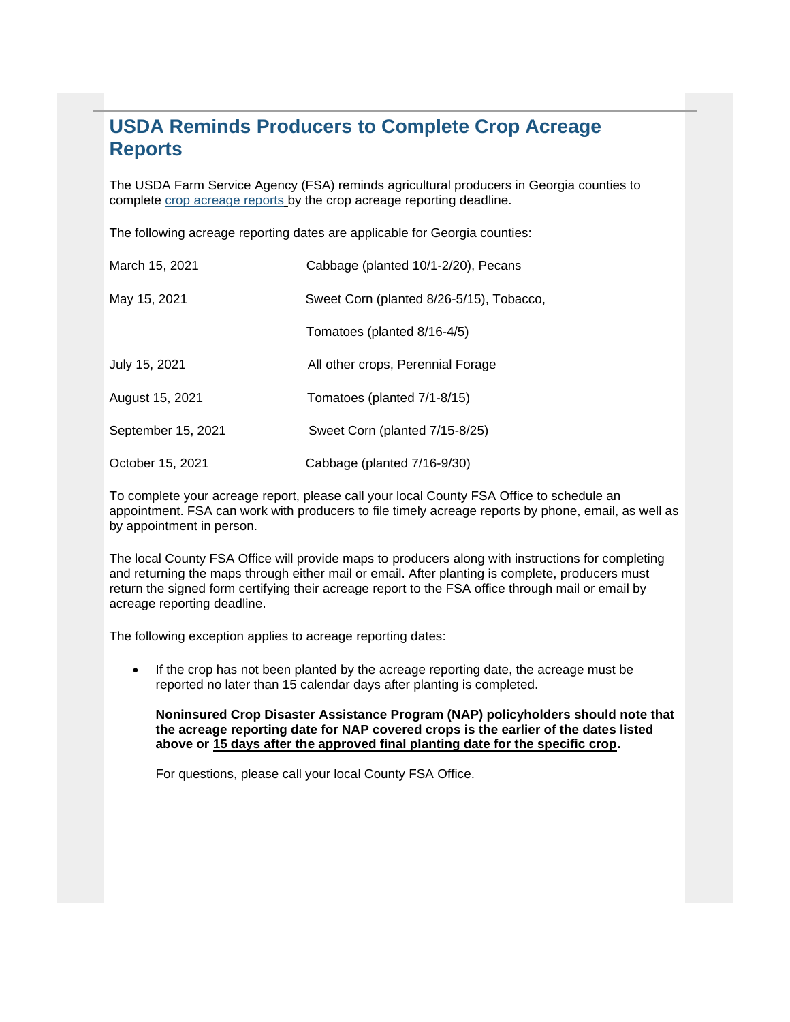## <span id="page-4-0"></span>**USDA Reminds Producers to Complete Crop Acreage Reports**

The USDA Farm Service Agency (FSA) reminds agricultural producers in Georgia counties to complete [crop acreage reports](https://www.farmers.gov/crop-acreage-reports?utm_medium=email&utm_source=govdelivery) by the crop acreage reporting deadline.

The following acreage reporting dates are applicable for Georgia counties:

| March 15, 2021     | Cabbage (planted 10/1-2/20), Pecans      |
|--------------------|------------------------------------------|
| May 15, 2021       | Sweet Corn (planted 8/26-5/15), Tobacco, |
|                    | Tomatoes (planted 8/16-4/5)              |
| July 15, 2021      | All other crops, Perennial Forage        |
| August 15, 2021    | Tomatoes (planted 7/1-8/15)              |
| September 15, 2021 | Sweet Corn (planted 7/15-8/25)           |
| October 15, 2021   | Cabbage (planted 7/16-9/30)              |

To complete your acreage report, please call your local County FSA Office to schedule an appointment. FSA can work with producers to file timely acreage reports by phone, email, as well as by appointment in person.

The local County FSA Office will provide maps to producers along with instructions for completing and returning the maps through either mail or email. After planting is complete, producers must return the signed form certifying their acreage report to the FSA office through mail or email by acreage reporting deadline.

The following exception applies to acreage reporting dates:

• If the crop has not been planted by the acreage reporting date, the acreage must be reported no later than 15 calendar days after planting is completed.

**Noninsured Crop Disaster Assistance Program (NAP) policyholders should note that the acreage reporting date for NAP covered crops is the earlier of the dates listed above or 15 days after the approved final planting date for the specific crop.** 

For questions, please call your local County FSA Office.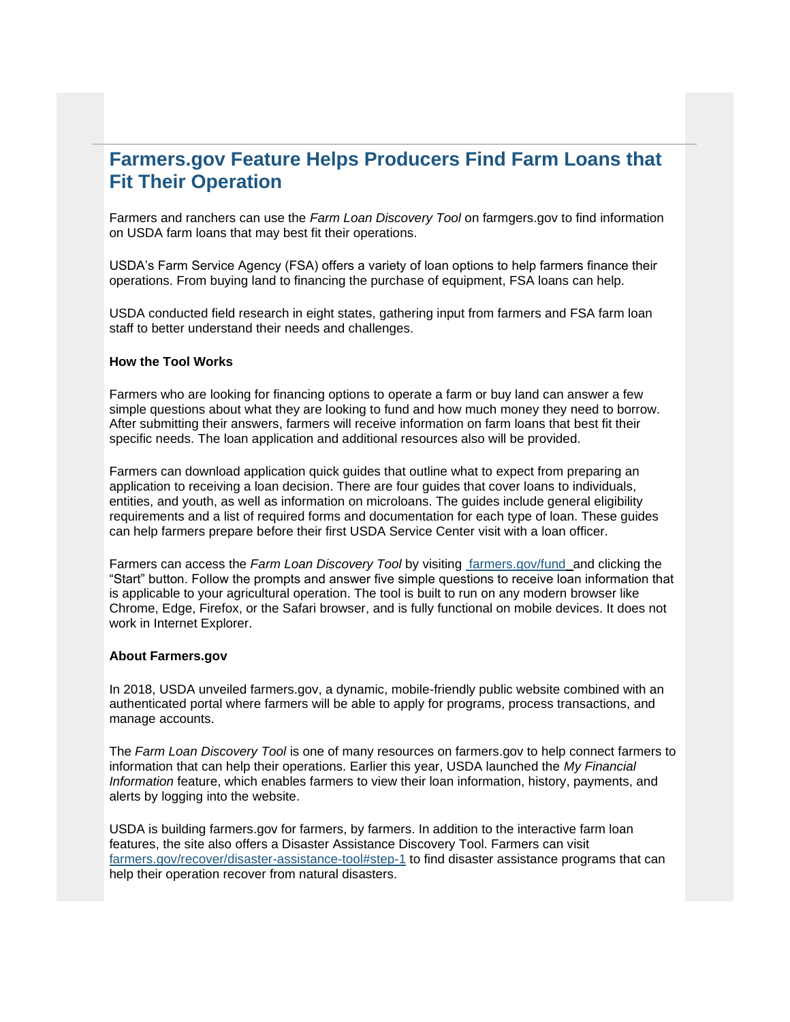## <span id="page-5-0"></span>**Farmers.gov Feature Helps Producers Find Farm Loans that Fit Their Operation**

Farmers and ranchers can use the *Farm Loan Discovery Tool* on farmgers.gov to find information on USDA farm loans that may best fit their operations.

USDA's Farm Service Agency (FSA) offers a variety of loan options to help farmers finance their operations. From buying land to financing the purchase of equipment, FSA loans can help.

USDA conducted field research in eight states, gathering input from farmers and FSA farm loan staff to better understand their needs and challenges.

#### **How the Tool Works**

Farmers who are looking for financing options to operate a farm or buy land can answer a few simple questions about what they are looking to fund and how much money they need to borrow. After submitting their answers, farmers will receive information on farm loans that best fit their specific needs. The loan application and additional resources also will be provided.

Farmers can download application quick guides that outline what to expect from preparing an application to receiving a loan decision. There are four guides that cover loans to individuals, entities, and youth, as well as information on microloans. The guides include general eligibility requirements and a list of required forms and documentation for each type of loan. These guides can help farmers prepare before their first USDA Service Center visit with a loan officer.

Farmers can access the *Farm Loan Discovery Tool* by visiting [farmers.gov/fund](https://www.farmers.gov/fund?utm_medium=email&utm_source=govdelivery) and clicking the "Start" button. Follow the prompts and answer five simple questions to receive loan information that is applicable to your agricultural operation. The tool is built to run on any modern browser like Chrome, Edge, Firefox, or the Safari browser, and is fully functional on mobile devices. It does not work in Internet Explorer.

#### **About Farmers.gov**

In 2018, USDA unveiled farmers.gov, a dynamic, mobile-friendly public website combined with an authenticated portal where farmers will be able to apply for programs, process transactions, and manage accounts.

The *Farm Loan Discovery Tool* is one of many resources on farmers.gov to help connect farmers to information that can help their operations. Earlier this year, USDA launched the *My Financial Information* feature, which enables farmers to view their loan information, history, payments, and alerts by logging into the website.

USDA is building farmers.gov for farmers, by farmers. In addition to the interactive farm loan features, the site also offers a Disaster Assistance Discovery Tool. Farmers can visit [farmers.gov/recover/disaster-assistance-tool#step-1](https://www.farmers.gov/recover/disaster-assistance-tool?utm_medium=email&utm_source=govdelivery#step-1) to find disaster assistance programs that can help their operation recover from natural disasters.